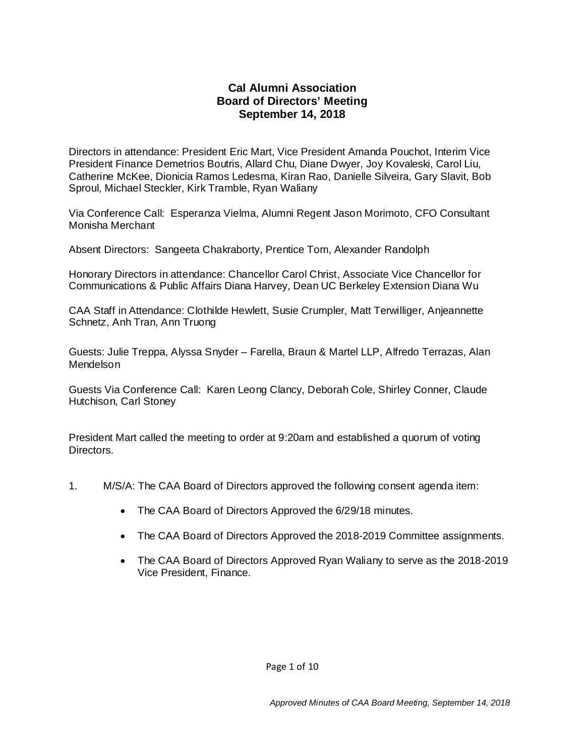# **Cal Alumni Association Board of Directors' Meeting September 14, 2018**

Directors in attendance: President Eric Mart, Vice President Amanda Pouchot, Interim Vice President Finance Demetrios Boutris, Allard Chu, Diane Dwyer, Joy Kovaleski, Carol Liu, Catherine McKee, Dionicia Ramos Ledesma, Kiran Rao, Danielle Silveira, Gary Slavit, Bob Sproul, Michael Steckler, Kirk Tramble, Ryan Waliany

Via Conference Call: Esperanza Vielma, Alumni Regent Jason Morimoto, CFO Consultant Monisha Merchant

Absent Directors: Sangeeta Chakraborty, Prentice Tom, Alexander Randolph

Honorary Directors in attendance: Chancellor Carol Christ, Associate Vice Chancellor for Communications & Public Affairs Diana Harvey, Dean UC Berkeley Extension Diana Wu

CAA Staff in Attendance: Clothilde Hewlett, Susie Crumpler, Matt Terwilliger, Anjeannette Schnetz, Anh Tran, Ann Truong

Guests: Julie Treppa, Alyssa Snyder – Farella, Braun & Martel LLP, Alfredo Terrazas, Alan Mendelson

Guests Via Conference Call: Karen Leong Clancy, Deborah Cole, Shirley Conner, Claude Hutchison, Carl Stoney

President Mart called the meeting to order at 9:20am and established a quorum of voting Directors.

- 1. M/S/A: The CAA Board of Directors approved the following consent agenda item:
	- The CAA Board of Directors Approved the 6/29/18 minutes.
	- The CAA Board of Directors Approved the 2018-2019 Committee assignments.
	- The CAA Board of Directors Approved Ryan Waliany to serve as the 2018-2019 Vice President, Finance.

Page 1 of 10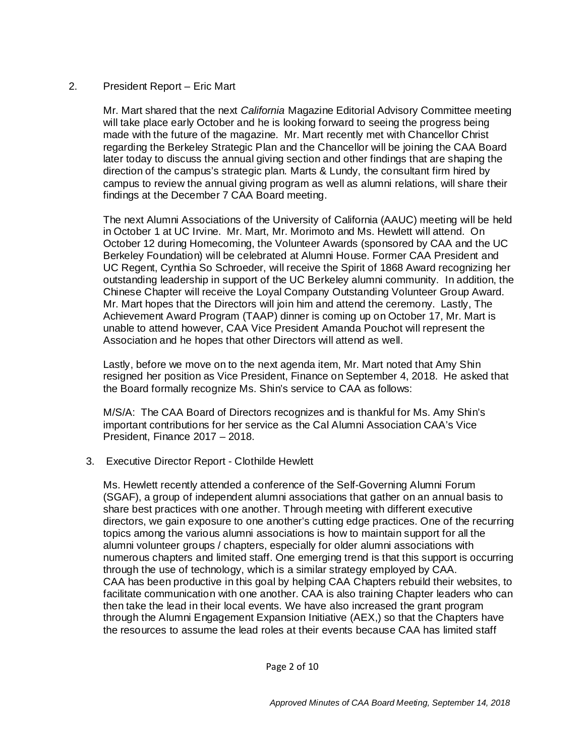# 2. President Report – Eric Mart

Mr. Mart shared that the next *California* Magazine Editorial Advisory Committee meeting will take place early October and he is looking forward to seeing the progress being made with the future of the magazine. Mr. Mart recently met with Chancellor Christ regarding the Berkeley Strategic Plan and the Chancellor will be joining the CAA Board later today to discuss the annual giving section and other findings that are shaping the direction of the campus's strategic plan. Marts & Lundy, the consultant firm hired by campus to review the annual giving program as well as alumni relations, will share their findings at the December 7 CAA Board meeting.

The next Alumni Associations of the University of California (AAUC) meeting will be held in October 1 at UC Irvine. Mr. Mart, Mr. Morimoto and Ms. Hewlett will attend. On October 12 during Homecoming, the Volunteer Awards (sponsored by CAA and the UC Berkeley Foundation) will be celebrated at Alumni House. Former CAA President and UC Regent, Cynthia So Schroeder, will receive the Spirit of 1868 Award recognizing her outstanding leadership in support of the UC Berkeley alumni community. In addition, the Chinese Chapter will receive the Loyal Company Outstanding Volunteer Group Award. Mr. Mart hopes that the Directors will join him and attend the ceremony. Lastly, The Achievement Award Program (TAAP) dinner is coming up on October 17, Mr. Mart is unable to attend however, CAA Vice President Amanda Pouchot will represent the Association and he hopes that other Directors will attend as well.

Lastly, before we move on to the next agenda item, Mr. Mart noted that Amy Shin resigned her position as Vice President, Finance on September 4, 2018. He asked that the Board formally recognize Ms. Shin's service to CAA as follows:

M/S/A: The CAA Board of Directors recognizes and is thankful for Ms. Amy Shin's important contributions for her service as the Cal Alumni Association CAA's Vice President, Finance 2017 – 2018.

### 3. Executive Director Report - Clothilde Hewlett

Ms. Hewlett recently attended a conference of the Self-Governing Alumni Forum (SGAF), a group of independent alumni associations that gather on an annual basis to share best practices with one another. Through meeting with different executive directors, we gain exposure to one another's cutting edge practices. One of the recurring topics among the various alumni associations is how to maintain support for all the alumni volunteer groups / chapters, especially for older alumni associations with numerous chapters and limited staff. One emerging trend is that this support is occurring through the use of technology, which is a similar strategy employed by CAA. CAA has been productive in this goal by helping CAA Chapters rebuild their websites, to facilitate communication with one another. CAA is also training Chapter leaders who can then take the lead in their local events. We have also increased the grant program through the Alumni Engagement Expansion Initiative (AEX,) so that the Chapters have the resources to assume the lead roles at their events because CAA has limited staff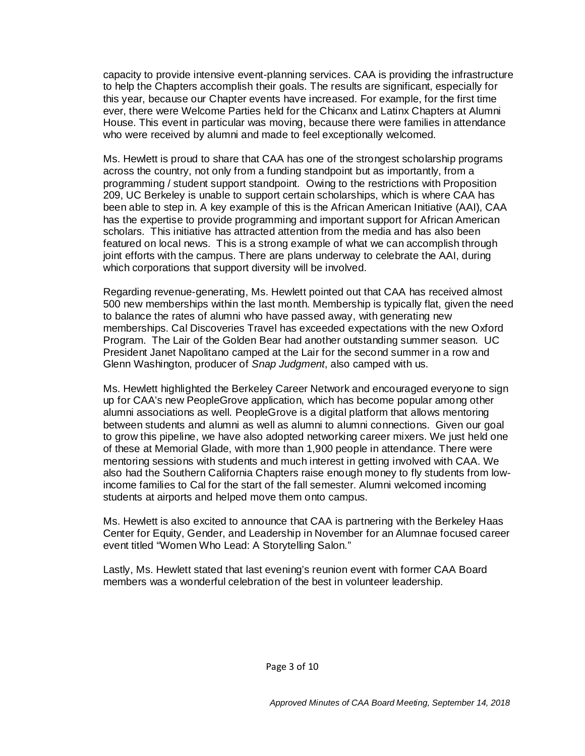capacity to provide intensive event-planning services. CAA is providing the infrastructure to help the Chapters accomplish their goals. The results are significant, especially for this year, because our Chapter events have increased. For example, for the first time ever, there were Welcome Parties held for the Chicanx and Latinx Chapters at Alumni House. This event in particular was moving, because there were families in attendance who were received by alumni and made to feel exceptionally welcomed.

Ms. Hewlett is proud to share that CAA has one of the strongest scholarship programs across the country, not only from a funding standpoint but as importantly, from a programming / student support standpoint. Owing to the restrictions with Proposition 209, UC Berkeley is unable to support certain scholarships, which is where CAA has been able to step in. A key example of this is the African American Initiative (AAI), CAA has the expertise to provide programming and important support for African American scholars. This initiative has attracted attention from the media and has also been featured on local news. This is a strong example of what we can accomplish through joint efforts with the campus. There are plans underway to celebrate the AAI, during which corporations that support diversity will be involved.

Regarding revenue-generating, Ms. Hewlett pointed out that CAA has received almost 500 new memberships within the last month. Membership is typically flat, given the need to balance the rates of alumni who have passed away, with generating new memberships. Cal Discoveries Travel has exceeded expectations with the new Oxford Program. The Lair of the Golden Bear had another outstanding summer season. UC President Janet Napolitano camped at the Lair for the second summer in a row and Glenn Washington, producer of *Snap Judgment*, also camped with us.

Ms. Hewlett highlighted the Berkeley Career Network and encouraged everyone to sign up for CAA's new PeopleGrove application, which has become popular among other alumni associations as well. PeopleGrove is a digital platform that allows mentoring between students and alumni as well as alumni to alumni connections. Given our goal to grow this pipeline, we have also adopted networking career mixers. We just held one of these at Memorial Glade, with more than 1,900 people in attendance. There were mentoring sessions with students and much interest in getting involved with CAA. We also had the Southern California Chapters raise enough money to fly students from lowincome families to Cal for the start of the fall semester. Alumni welcomed incoming students at airports and helped move them onto campus.

Ms. Hewlett is also excited to announce that CAA is partnering with the Berkeley Haas Center for Equity, Gender, and Leadership in November for an Alumnae focused career event titled "Women Who Lead: A Storytelling Salon."

Lastly, Ms. Hewlett stated that last evening's reunion event with former CAA Board members was a wonderful celebration of the best in volunteer leadership.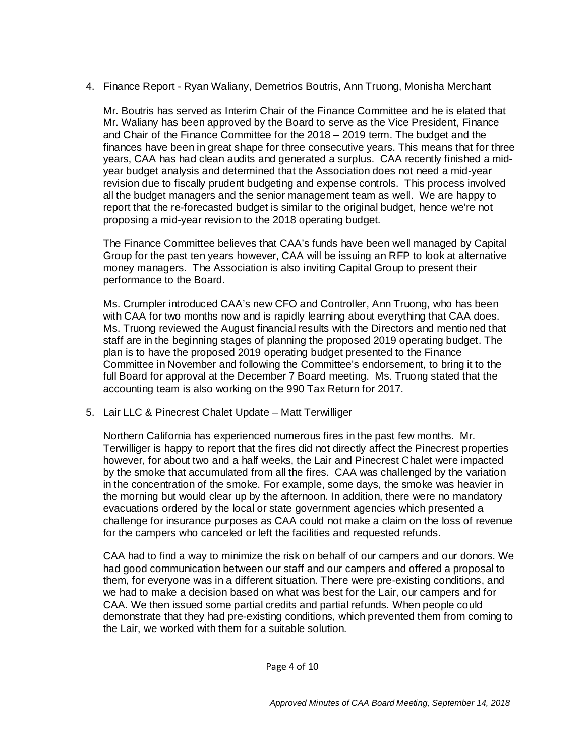# 4. Finance Report - Ryan Waliany, Demetrios Boutris, Ann Truong, Monisha Merchant

Mr. Boutris has served as Interim Chair of the Finance Committee and he is elated that Mr. Waliany has been approved by the Board to serve as the Vice President, Finance and Chair of the Finance Committee for the 2018 – 2019 term. The budget and the finances have been in great shape for three consecutive years. This means that for three years, CAA has had clean audits and generated a surplus. CAA recently finished a midyear budget analysis and determined that the Association does not need a mid-year revision due to fiscally prudent budgeting and expense controls. This process involved all the budget managers and the senior management team as well. We are happy to report that the re-forecasted budget is similar to the original budget, hence we're not proposing a mid-year revision to the 2018 operating budget.

The Finance Committee believes that CAA's funds have been well managed by Capital Group for the past ten years however, CAA will be issuing an RFP to look at alternative money managers. The Association is also inviting Capital Group to present their performance to the Board.

Ms. Crumpler introduced CAA's new CFO and Controller, Ann Truong, who has been with CAA for two months now and is rapidly learning about everything that CAA does. Ms. Truong reviewed the August financial results with the Directors and mentioned that staff are in the beginning stages of planning the proposed 2019 operating budget. The plan is to have the proposed 2019 operating budget presented to the Finance Committee in November and following the Committee's endorsement, to bring it to the full Board for approval at the December 7 Board meeting. Ms. Truong stated that the accounting team is also working on the 990 Tax Return for 2017.

### 5. Lair LLC & Pinecrest Chalet Update – Matt Terwilliger

Northern California has experienced numerous fires in the past few months. Mr. Terwilliger is happy to report that the fires did not directly affect the Pinecrest properties however, for about two and a half weeks, the Lair and Pinecrest Chalet were impacted by the smoke that accumulated from all the fires. CAA was challenged by the variation in the concentration of the smoke. For example, some days, the smoke was heavier in the morning but would clear up by the afternoon. In addition, there were no mandatory evacuations ordered by the local or state government agencies which presented a challenge for insurance purposes as CAA could not make a claim on the loss of revenue for the campers who canceled or left the facilities and requested refunds.

CAA had to find a way to minimize the risk on behalf of our campers and our donors. We had good communication between our staff and our campers and offered a proposal to them, for everyone was in a different situation. There were pre-existing conditions, and we had to make a decision based on what was best for the Lair, our campers and for CAA. We then issued some partial credits and partial refunds. When people could demonstrate that they had pre-existing conditions, which prevented them from coming to the Lair, we worked with them for a suitable solution.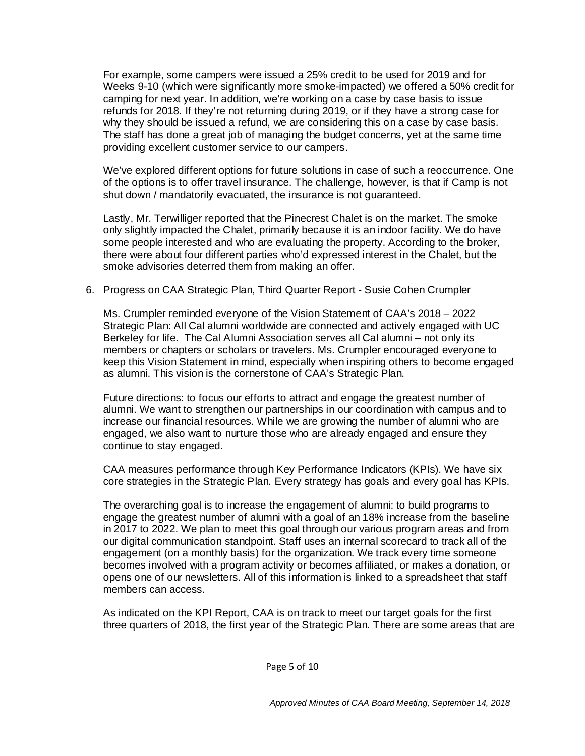For example, some campers were issued a 25% credit to be used for 2019 and for Weeks 9-10 (which were significantly more smoke-impacted) we offered a 50% credit for camping for next year. In addition, we're working on a case by case basis to issue refunds for 2018. If they're not returning during 2019, or if they have a strong case for why they should be issued a refund, we are considering this on a case by case basis. The staff has done a great job of managing the budget concerns, yet at the same time providing excellent customer service to our campers.

We've explored different options for future solutions in case of such a reoccurrence. One of the options is to offer travel insurance. The challenge, however, is that if Camp is not shut down / mandatorily evacuated, the insurance is not guaranteed.

Lastly, Mr. Terwilliger reported that the Pinecrest Chalet is on the market. The smoke only slightly impacted the Chalet, primarily because it is an indoor facility. We do have some people interested and who are evaluating the property. According to the broker, there were about four different parties who'd expressed interest in the Chalet, but the smoke advisories deterred them from making an offer.

#### 6. Progress on CAA Strategic Plan, Third Quarter Report - Susie Cohen Crumpler

Ms. Crumpler reminded everyone of the Vision Statement of CAA's 2018 – 2022 Strategic Plan: All Cal alumni worldwide are connected and actively engaged with UC Berkeley for life. The Cal Alumni Association serves all Cal alumni – not only its members or chapters or scholars or travelers. Ms. Crumpler encouraged everyone to keep this Vision Statement in mind, especially when inspiring others to become engaged as alumni. This vision is the cornerstone of CAA's Strategic Plan.

Future directions: to focus our efforts to attract and engage the greatest number of alumni. We want to strengthen our partnerships in our coordination with campus and to increase our financial resources. While we are growing the number of alumni who are engaged, we also want to nurture those who are already engaged and ensure they continue to stay engaged.

CAA measures performance through Key Performance Indicators (KPIs). We have six core strategies in the Strategic Plan. Every strategy has goals and every goal has KPIs.

The overarching goal is to increase the engagement of alumni: to build programs to engage the greatest number of alumni with a goal of an 18% increase from the baseline in 2017 to 2022. We plan to meet this goal through our various program areas and from our digital communication standpoint. Staff uses an internal scorecard to track all of the engagement (on a monthly basis) for the organization. We track every time someone becomes involved with a program activity or becomes affiliated, or makes a donation, or opens one of our newsletters. All of this information is linked to a spreadsheet that staff members can access.

As indicated on the KPI Report, CAA is on track to meet our target goals for the first three quarters of 2018, the first year of the Strategic Plan. There are some areas that are

Page 5 of 10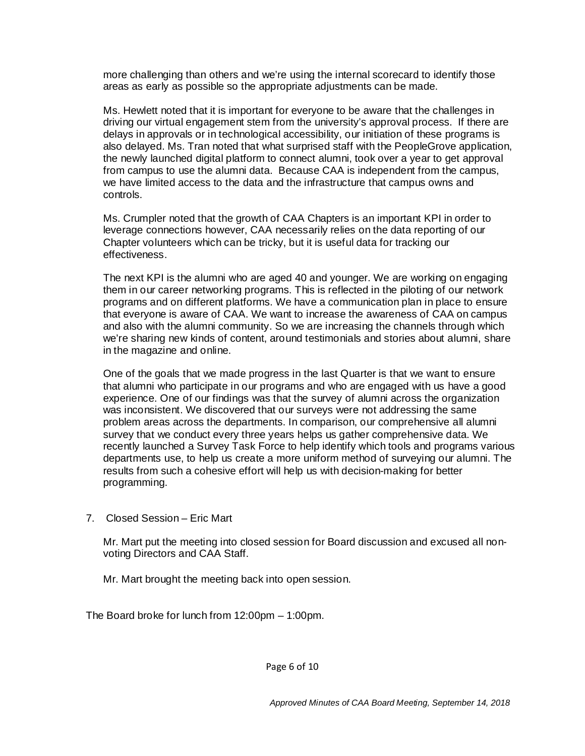more challenging than others and we're using the internal scorecard to identify those areas as early as possible so the appropriate adjustments can be made.

Ms. Hewlett noted that it is important for everyone to be aware that the challenges in driving our virtual engagement stem from the university's approval process. If there are delays in approvals or in technological accessibility, our initiation of these programs is also delayed. Ms. Tran noted that what surprised staff with the PeopleGrove application, the newly launched digital platform to connect alumni, took over a year to get approval from campus to use the alumni data. Because CAA is independent from the campus, we have limited access to the data and the infrastructure that campus owns and controls.

Ms. Crumpler noted that the growth of CAA Chapters is an important KPI in order to leverage connections however, CAA necessarily relies on the data reporting of our Chapter volunteers which can be tricky, but it is useful data for tracking our effectiveness.

The next KPI is the alumni who are aged 40 and younger. We are working on engaging them in our career networking programs. This is reflected in the piloting of our network programs and on different platforms. We have a communication plan in place to ensure that everyone is aware of CAA. We want to increase the awareness of CAA on campus and also with the alumni community. So we are increasing the channels through which we're sharing new kinds of content, around testimonials and stories about alumni, share in the magazine and online.

One of the goals that we made progress in the last Quarter is that we want to ensure that alumni who participate in our programs and who are engaged with us have a good experience. One of our findings was that the survey of alumni across the organization was inconsistent. We discovered that our surveys were not addressing the same problem areas across the departments. In comparison, our comprehensive all alumni survey that we conduct every three years helps us gather comprehensive data. We recently launched a Survey Task Force to help identify which tools and programs various departments use, to help us create a more uniform method of surveying our alumni. The results from such a cohesive effort will help us with decision-making for better programming.

7. Closed Session – Eric Mart

Mr. Mart put the meeting into closed session for Board discussion and excused all nonvoting Directors and CAA Staff.

Mr. Mart brought the meeting back into open session.

The Board broke for lunch from 12:00pm – 1:00pm.

Page 6 of 10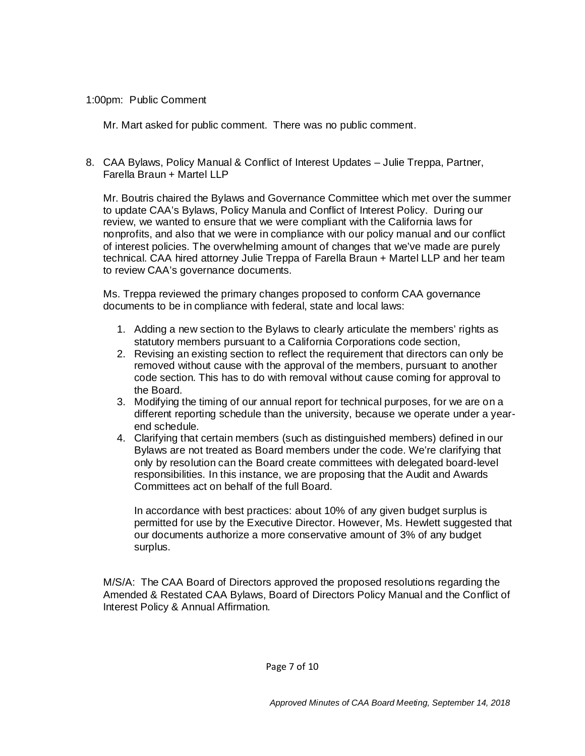#### 1:00pm: Public Comment

Mr. Mart asked for public comment. There was no public comment.

8. CAA Bylaws, Policy Manual & Conflict of Interest Updates – Julie Treppa, Partner, Farella Braun + Martel LLP

Mr. Boutris chaired the Bylaws and Governance Committee which met over the summer to update CAA's Bylaws, Policy Manula and Conflict of Interest Policy. During our review, we wanted to ensure that we were compliant with the California laws for nonprofits, and also that we were in compliance with our policy manual and our conflict of interest policies. The overwhelming amount of changes that we've made are purely technical. CAA hired attorney Julie Treppa of Farella Braun + Martel LLP and her team to review CAA's governance documents.

Ms. Treppa reviewed the primary changes proposed to conform CAA governance documents to be in compliance with federal, state and local laws:

- 1. Adding a new section to the Bylaws to clearly articulate the members' rights as statutory members pursuant to a California Corporations code section,
- 2. Revising an existing section to reflect the requirement that directors can only be removed without cause with the approval of the members, pursuant to another code section. This has to do with removal without cause coming for approval to the Board.
- 3. Modifying the timing of our annual report for technical purposes, for we are on a different reporting schedule than the university, because we operate under a yearend schedule.
- 4. Clarifying that certain members (such as distinguished members) defined in our Bylaws are not treated as Board members under the code. We're clarifying that only by resolution can the Board create committees with delegated board-level responsibilities. In this instance, we are proposing that the Audit and Awards Committees act on behalf of the full Board.

In accordance with best practices: about 10% of any given budget surplus is permitted for use by the Executive Director. However, Ms. Hewlett suggested that our documents authorize a more conservative amount of 3% of any budget surplus.

M/S/A: The CAA Board of Directors approved the proposed resolutions regarding the Amended & Restated CAA Bylaws, Board of Directors Policy Manual and the Conflict of Interest Policy & Annual Affirmation.

Page 7 of 10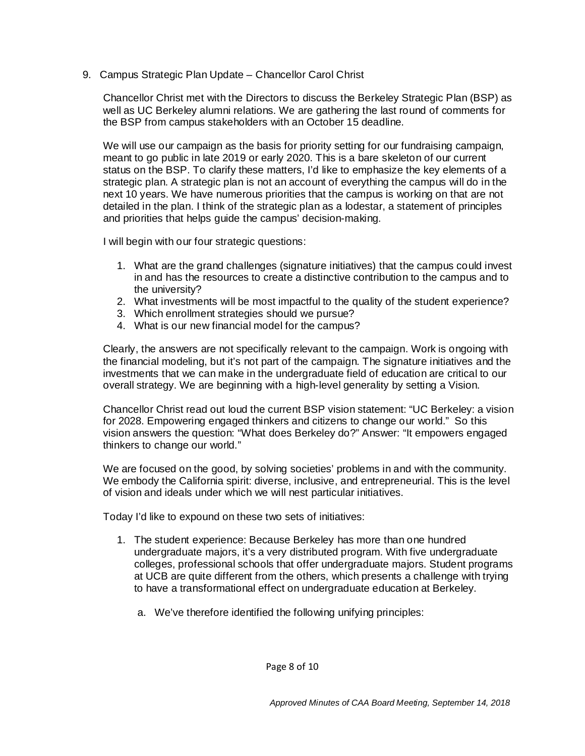9. Campus Strategic Plan Update – Chancellor Carol Christ

Chancellor Christ met with the Directors to discuss the Berkeley Strategic Plan (BSP) as well as UC Berkeley alumni relations. We are gathering the last round of comments for the BSP from campus stakeholders with an October 15 deadline.

We will use our campaign as the basis for priority setting for our fundraising campaign, meant to go public in late 2019 or early 2020. This is a bare skeleton of our current status on the BSP. To clarify these matters, I'd like to emphasize the key elements of a strategic plan. A strategic plan is not an account of everything the campus will do in the next 10 years. We have numerous priorities that the campus is working on that are not detailed in the plan. I think of the strategic plan as a lodestar, a statement of principles and priorities that helps guide the campus' decision-making.

I will begin with our four strategic questions:

- 1. What are the grand challenges (signature initiatives) that the campus could invest in and has the resources to create a distinctive contribution to the campus and to the university?
- 2. What investments will be most impactful to the quality of the student experience?
- 3. Which enrollment strategies should we pursue?
- 4. What is our new financial model for the campus?

Clearly, the answers are not specifically relevant to the campaign. Work is ongoing with the financial modeling, but it's not part of the campaign. The signature initiatives and the investments that we can make in the undergraduate field of education are critical to our overall strategy. We are beginning with a high-level generality by setting a Vision.

Chancellor Christ read out loud the current BSP vision statement: "UC Berkeley: a vision for 2028. Empowering engaged thinkers and citizens to change our world." So this vision answers the question: "What does Berkeley do?" Answer: "It empowers engaged thinkers to change our world."

We are focused on the good, by solving societies' problems in and with the community. We embody the California spirit: diverse, inclusive, and entrepreneurial. This is the level of vision and ideals under which we will nest particular initiatives.

Today I'd like to expound on these two sets of initiatives:

- 1. The student experience: Because Berkeley has more than one hundred undergraduate majors, it's a very distributed program. With five undergraduate colleges, professional schools that offer undergraduate majors. Student programs at UCB are quite different from the others, which presents a challenge with trying to have a transformational effect on undergraduate education at Berkeley.
	- a. We've therefore identified the following unifying principles:

Page 8 of 10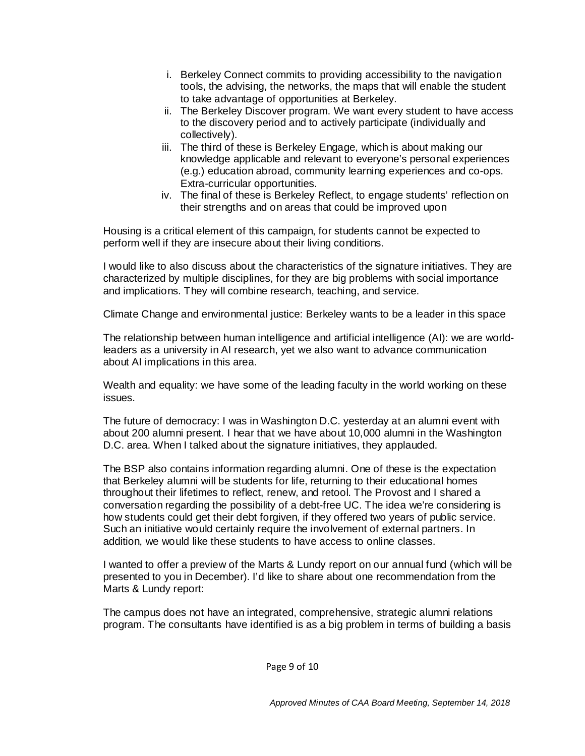- i. Berkeley Connect commits to providing accessibility to the navigation tools, the advising, the networks, the maps that will enable the student to take advantage of opportunities at Berkeley.
- ii. The Berkeley Discover program. We want every student to have access to the discovery period and to actively participate (individually and collectively).
- iii. The third of these is Berkeley Engage, which is about making our knowledge applicable and relevant to everyone's personal experiences (e.g.) education abroad, community learning experiences and co-ops. Extra-curricular opportunities.
- iv. The final of these is Berkeley Reflect, to engage students' reflection on their strengths and on areas that could be improved upon

Housing is a critical element of this campaign, for students cannot be expected to perform well if they are insecure about their living conditions.

I would like to also discuss about the characteristics of the signature initiatives. They are characterized by multiple disciplines, for they are big problems with social importance and implications. They will combine research, teaching, and service.

Climate Change and environmental justice: Berkeley wants to be a leader in this space

The relationship between human intelligence and artificial intelligence (AI): we are worldleaders as a university in AI research, yet we also want to advance communication about AI implications in this area.

Wealth and equality: we have some of the leading faculty in the world working on these issues.

The future of democracy: I was in Washington D.C. yesterday at an alumni event with about 200 alumni present. I hear that we have about 10,000 alumni in the Washington D.C. area. When I talked about the signature initiatives, they applauded.

The BSP also contains information regarding alumni. One of these is the expectation that Berkeley alumni will be students for life, returning to their educational homes throughout their lifetimes to reflect, renew, and retool. The Provost and I shared a conversation regarding the possibility of a debt-free UC. The idea we're considering is how students could get their debt forgiven, if they offered two years of public service. Such an initiative would certainly require the involvement of external partners. In addition, we would like these students to have access to online classes.

I wanted to offer a preview of the Marts & Lundy report on our annual fund (which will be presented to you in December). I'd like to share about one recommendation from the Marts & Lundy report:

The campus does not have an integrated, comprehensive, strategic alumni relations program. The consultants have identified is as a big problem in terms of building a basis

Page 9 of 10